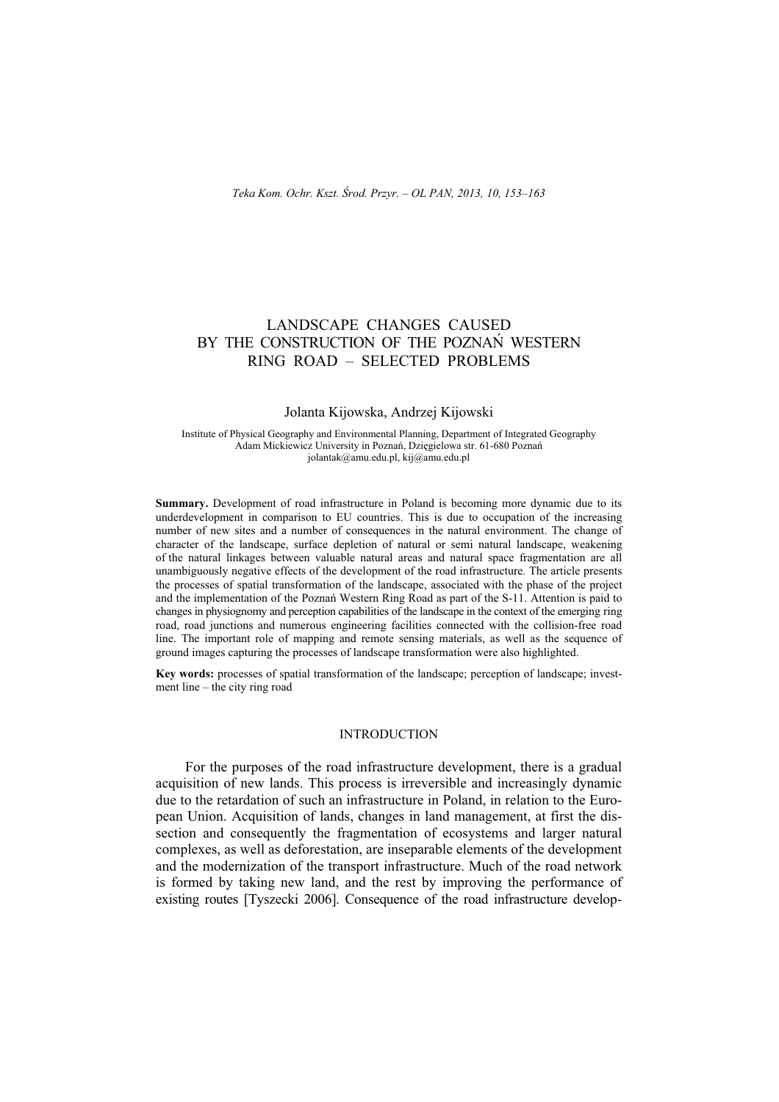# LANDSCAPE CHANGES CAUSED BY THE CONSTRUCTION OF THE POZNAŃ WESTERN RING ROAD – SELECTED PROBLEMS

### Jolanta Kijowska, Andrzej Kijowski

Institute of Physical Geography and Environmental Planning, Department of Integrated Geography Adam Mickiewicz University in Poznań, Dzięgielowa str. 61-680 Poznań jolantak@amu.edu.pl, kij@amu.edu.pl

**Summary.** Development of road infrastructure in Poland is becoming more dynamic due to its underdevelopment in comparison to EU countries. This is due to occupation of the increasing number of new sites and a number of consequences in the natural environment. The change of character of the landscape, surface depletion of natural or semi natural landscape, weakening of the natural linkages between valuable natural areas and natural space fragmentation are all unambiguously negative effects of the development of the road infrastructure. The article presents the processes of spatial transformation of the landscape, associated with the phase of the project and the implementation of the Poznań Western Ring Road as part of the S-11. Attention is paid to changes in physiognomy and perception capabilities of the landscape in the context of the emerging ring road, road junctions and numerous engineering facilities connected with the collision-free road line. The important role of mapping and remote sensing materials, as well as the sequence of ground images capturing the processes of landscape transformation were also highlighted.

**Key words:** processes of spatial transformation of the landscape; perception of landscape; investment line – the city ring road

#### INTRODUCTION

For the purposes of the road infrastructure development, there is a gradual acquisition of new lands. This process is irreversible and increasingly dynamic due to the retardation of such an infrastructure in Poland, in relation to the European Union. Acquisition of lands, changes in land management, at first the dissection and consequently the fragmentation of ecosystems and larger natural complexes, as well as deforestation, are inseparable elements of the development and the modernization of the transport infrastructure. Much of the road network is formed by taking new land, and the rest by improving the performance of existing routes [Tyszecki 2006]. Consequence of the road infrastructure develop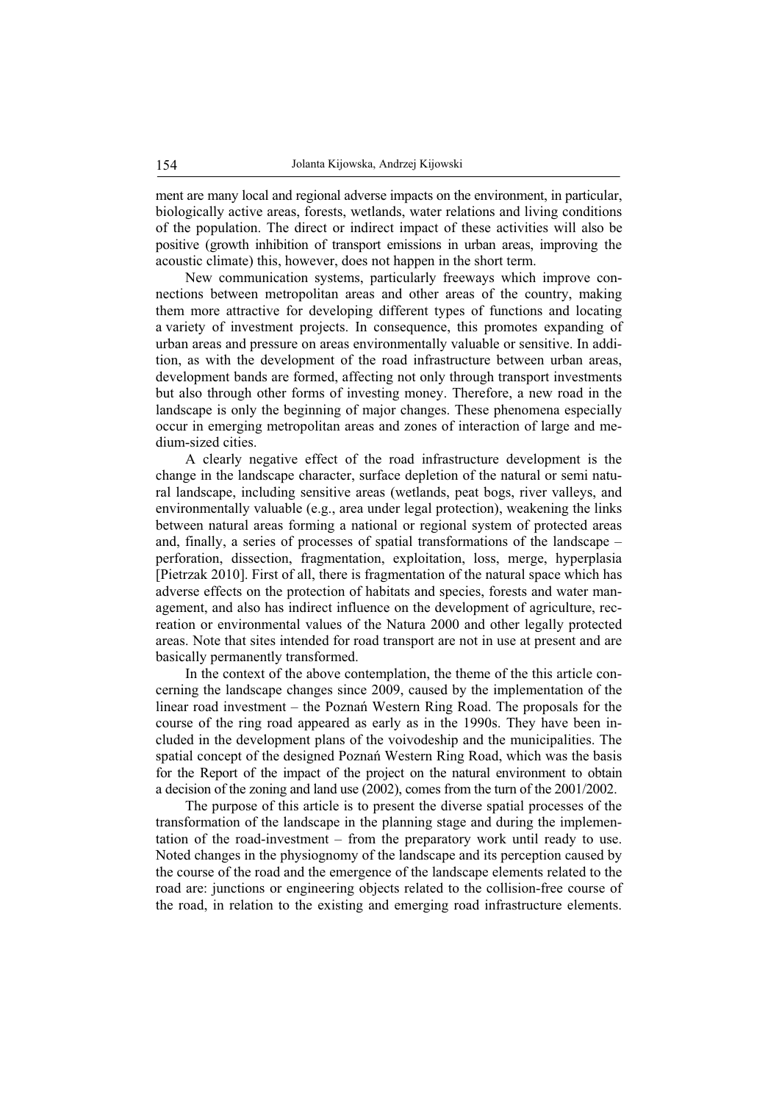ment are many local and regional adverse impacts on the environment, in particular, biologically active areas, forests, wetlands, water relations and living conditions of the population. The direct or indirect impact of these activities will also be positive (growth inhibition of transport emissions in urban areas, improving the acoustic climate) this, however, does not happen in the short term.

New communication systems, particularly freeways which improve connections between metropolitan areas and other areas of the country, making them more attractive for developing different types of functions and locating a variety of investment projects. In consequence, this promotes expanding of urban areas and pressure on areas environmentally valuable or sensitive. In addition, as with the development of the road infrastructure between urban areas, development bands are formed, affecting not only through transport investments but also through other forms of investing money. Therefore, a new road in the landscape is only the beginning of major changes. These phenomena especially occur in emerging metropolitan areas and zones of interaction of large and medium-sized cities.

A clearly negative effect of the road infrastructure development is the change in the landscape character, surface depletion of the natural or semi natural landscape, including sensitive areas (wetlands, peat bogs, river valleys, and environmentally valuable (e.g., area under legal protection), weakening the links between natural areas forming a national or regional system of protected areas and, finally, a series of processes of spatial transformations of the landscape – perforation, dissection, fragmentation, exploitation, loss, merge, hyperplasia [Pietrzak 2010]. First of all, there is fragmentation of the natural space which has adverse effects on the protection of habitats and species, forests and water management, and also has indirect influence on the development of agriculture, recreation or environmental values of the Natura 2000 and other legally protected areas. Note that sites intended for road transport are not in use at present and are basically permanently transformed.

In the context of the above contemplation, the theme of the this article concerning the landscape changes since 2009, caused by the implementation of the linear road investment – the Poznań Western Ring Road. The proposals for the course of the ring road appeared as early as in the 1990s. They have been included in the development plans of the voivodeship and the municipalities. The spatial concept of the designed Poznań Western Ring Road, which was the basis for the Report of the impact of the project on the natural environment to obtain a decision of the zoning and land use (2002), comes from the turn of the 2001/2002.

The purpose of this article is to present the diverse spatial processes of the transformation of the landscape in the planning stage and during the implementation of the road-investment – from the preparatory work until ready to use. Noted changes in the physiognomy of the landscape and its perception caused by the course of the road and the emergence of the landscape elements related to the road are: junctions or engineering objects related to the collision-free course of the road, in relation to the existing and emerging road infrastructure elements.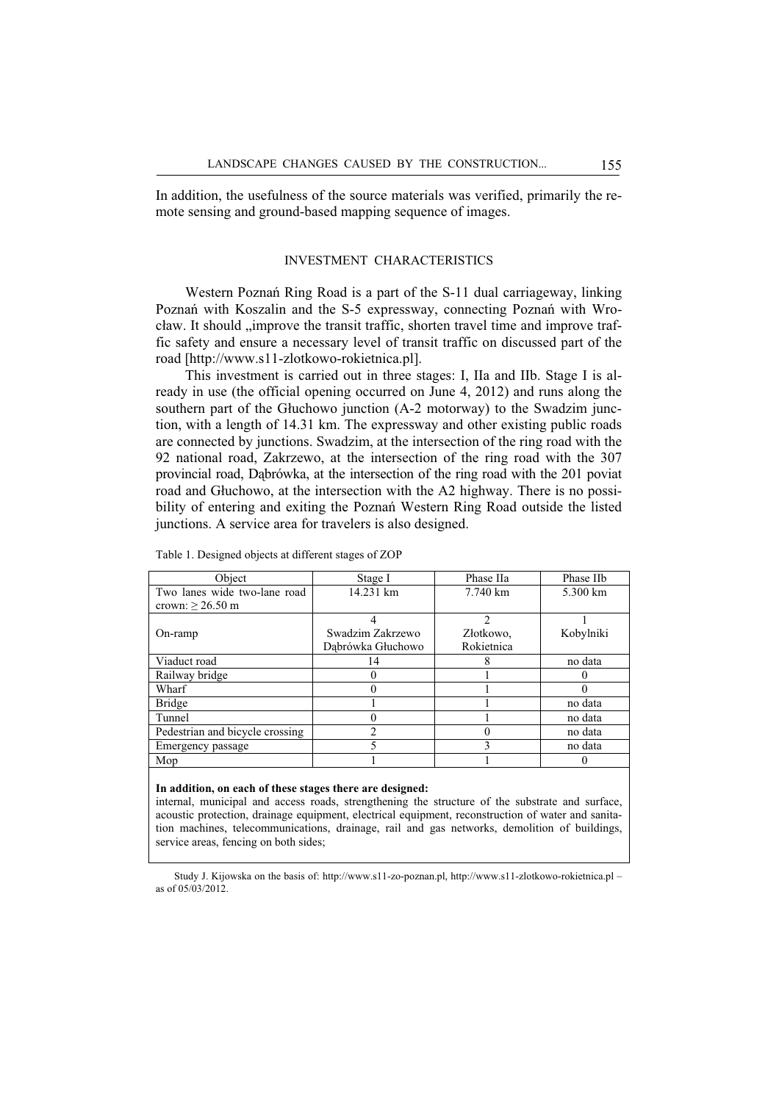In addition, the usefulness of the source materials was verified, primarily the remote sensing and ground-based mapping sequence of images.

#### INVESTMENT CHARACTERISTICS

Western Poznań Ring Road is a part of the S-11 dual carriageway, linking Poznań with Koszalin and the S-5 expressway, connecting Poznań with Wrocław. It should "improve the transit traffic, shorten travel time and improve traffic safety and ensure a necessary level of transit traffic on discussed part of the road [http://www.s11-zlotkowo-rokietnica.pl].

This investment is carried out in three stages: I, IIa and IIb. Stage I is already in use (the official opening occurred on June 4, 2012) and runs along the southern part of the Głuchowo junction (A-2 motorway) to the Swadzim junction, with a length of 14.31 km. The expressway and other existing public roads are connected by junctions. Swadzim, at the intersection of the ring road with the 92 national road, Zakrzewo, at the intersection of the ring road with the 307 provincial road, Dąbrówka, at the intersection of the ring road with the 201 poviat road and Ghuchowo, at the intersection with the A2 highway. There is no possibility of entering and exiting the Poznań Western Ring Road outside the listed junctions. A service area for travelers is also designed.

| Object                          | Stage I           | Phase IIa           | Phase IIb |
|---------------------------------|-------------------|---------------------|-----------|
| Two lanes wide two-lane road    | 14.231 km         | $7.740 \mathrm{km}$ | 5.300 km  |
| crown: $\geq 26.50$ m           |                   |                     |           |
|                                 |                   | $\mathfrak{D}$      |           |
| $On$ -ramp                      | Swadzim Zakrzewo  | Złotkowo,           | Kobylniki |
|                                 | Dąbrówka Głuchowo | Rokietnica          |           |
| Viaduct road                    | 14                |                     | no data   |
| Railway bridge                  |                   |                     | 0         |
| Wharf                           |                   |                     | 0         |
| <b>Bridge</b>                   |                   |                     | no data   |
| Tunnel                          |                   |                     | no data   |
| Pedestrian and bicycle crossing |                   |                     | no data   |
| Emergency passage               |                   | 3                   | no data   |
| Mop                             |                   |                     | $^{(1)}$  |
|                                 |                   |                     |           |

Table 1. Designed objects at different stages of ZOP

#### **In addition, on each of these stages there are designed:**

internal, municipal and access roads, strengthening the structure of the substrate and surface, acoustic protection, drainage equipment, electrical equipment, reconstruction of water and sanitation machines, telecommunications, drainage, rail and gas networks, demolition of buildings, service areas, fencing on both sides;

Study J. Kijowska on the basis of: http://www.s11-zo-poznan.pl, http://www.s11-zlotkowo-rokietnica.pl – as of 05/03/2012.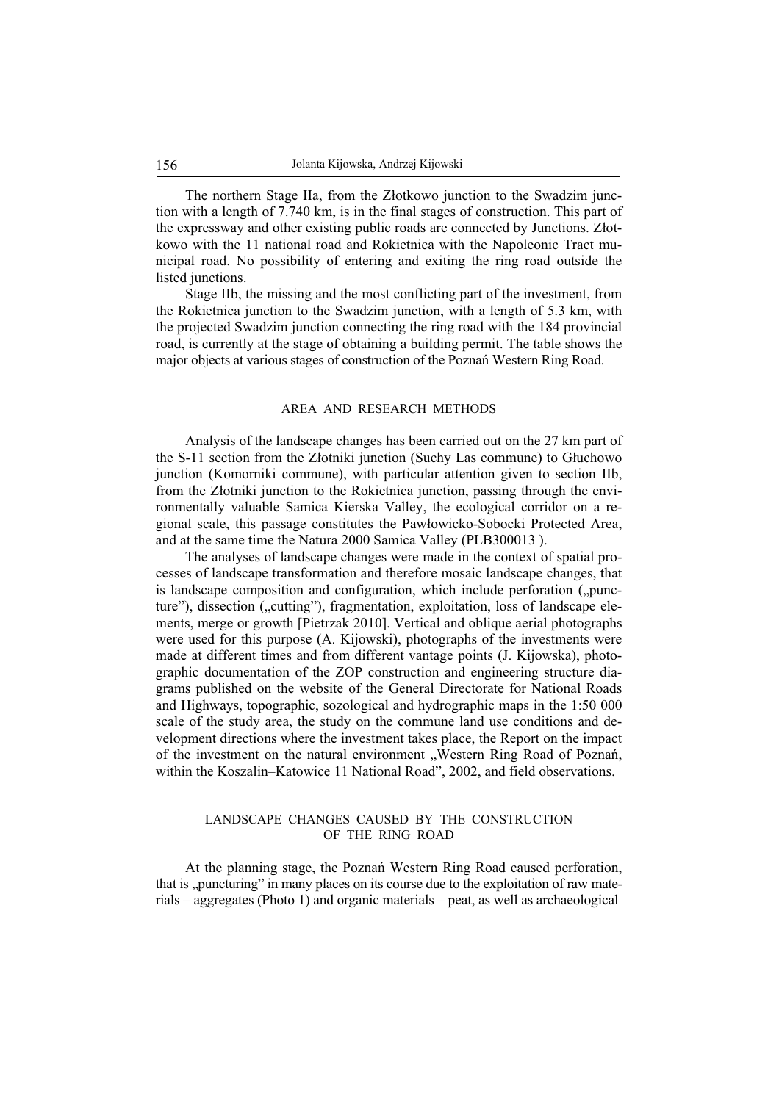The northern Stage IIa, from the Złotkowo junction to the Swadzim junction with a length of 7.740 km, is in the final stages of construction. This part of the expressway and other existing public roads are connected by Junctions. Zhotkowo with the 11 national road and Rokietnica with the Napoleonic Tract municipal road. No possibility of entering and exiting the ring road outside the listed junctions.

Stage IIb, the missing and the most conflicting part of the investment, from the Rokietnica junction to the Swadzim junction, with a length of 5.3 km, with the projected Swadzim junction connecting the ring road with the 184 provincial road, is currently at the stage of obtaining a building permit. The table shows the major objects at various stages of construction of the Poznań Western Ring Road.

## AREA AND RESEARCH METHODS

Analysis of the landscape changes has been carried out on the 27 km part of the S-11 section from the Złotniki junction (Suchy Las commune) to Głuchowo junction (Komorniki commune), with particular attention given to section IIb, from the Złotniki junction to the Rokietnica junction, passing through the environmentally valuable Samica Kierska Valley, the ecological corridor on a regional scale, this passage constitutes the Pawłowicko-Sobocki Protected Area, and at the same time the Natura 2000 Samica Valley (PLB300013 ).

The analyses of landscape changes were made in the context of spatial processes of landscape transformation and therefore mosaic landscape changes, that is landscape composition and configuration, which include perforation ("puncture"), dissection ("cutting"), fragmentation, exploitation, loss of landscape elements, merge or growth [Pietrzak 2010]. Vertical and oblique aerial photographs were used for this purpose (A. Kijowski), photographs of the investments were made at different times and from different vantage points (J. Kijowska), photographic documentation of the ZOP construction and engineering structure diagrams published on the website of the General Directorate for National Roads and Highways, topographic, sozological and hydrographic maps in the 1:50 000 scale of the study area, the study on the commune land use conditions and development directions where the investment takes place, the Report on the impact of the investment on the natural environment "Western Ring Road of Poznań, within the Koszalin–Katowice 11 National Road", 2002, and field observations.

## LANDSCAPE CHANGES CAUSED BY THE CONSTRUCTION OF THE RING ROAD

At the planning stage, the Poznań Western Ring Road caused perforation, that is "puncturing" in many places on its course due to the exploitation of raw materials – aggregates (Photo 1) and organic materials – peat, as well as archaeological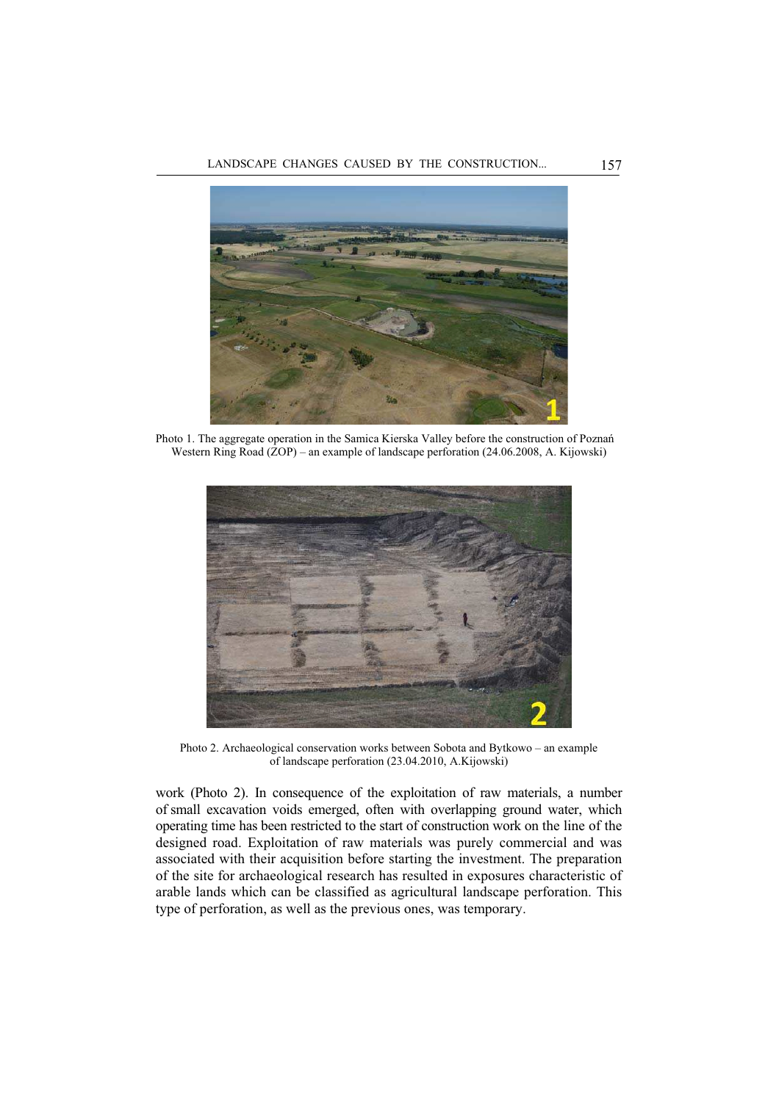

Photo 1. The aggregate operation in the Samica Kierska Valley before the construction of Poznań Western Ring Road (ZOP) – an example of landscape perforation (24.06.2008, A. Kijowski)



Photo 2. Archaeological conservation works between Sobota and Bytkowo – an example of landscape perforation (23.04.2010, A.Kijowski)

work (Photo 2). In consequence of the exploitation of raw materials, a number of small excavation voids emerged, often with overlapping ground water, which operating time has been restricted to the start of construction work on the line of the designed road. Exploitation of raw materials was purely commercial and was associated with their acquisition before starting the investment. The preparation of the site for archaeological research has resulted in exposures characteristic of arable lands which can be classified as agricultural landscape perforation. This type of perforation, as well as the previous ones, was temporary.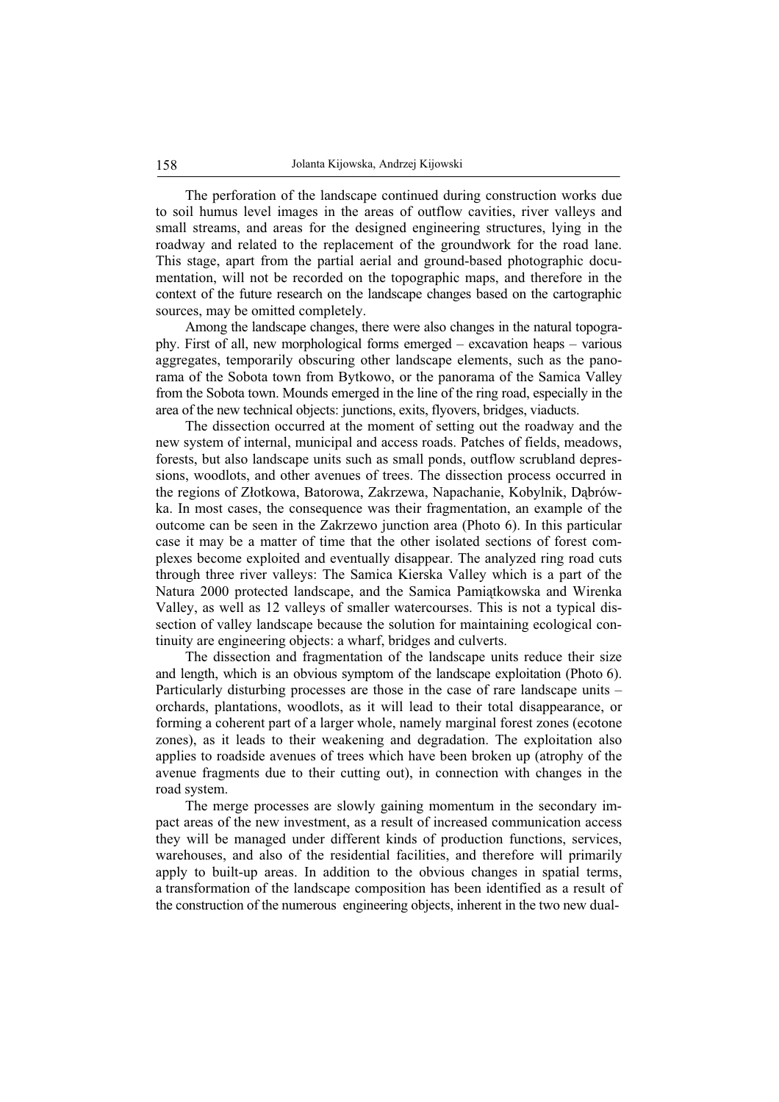The perforation of the landscape continued during construction works due to soil humus level images in the areas of outflow cavities, river valleys and small streams, and areas for the designed engineering structures, lying in the roadway and related to the replacement of the groundwork for the road lane. This stage, apart from the partial aerial and ground-based photographic documentation, will not be recorded on the topographic maps, and therefore in the context of the future research on the landscape changes based on the cartographic sources, may be omitted completely.

Among the landscape changes, there were also changes in the natural topography. First of all, new morphological forms emerged – excavation heaps – various aggregates, temporarily obscuring other landscape elements, such as the panorama of the Sobota town from Bytkowo, or the panorama of the Samica Valley from the Sobota town. Mounds emerged in the line of the ring road, especially in the area of the new technical objects: junctions, exits, flyovers, bridges, viaducts.

The dissection occurred at the moment of setting out the roadway and the new system of internal, municipal and access roads. Patches of fields, meadows, forests, but also landscape units such as small ponds, outflow scrubland depressions, woodlots, and other avenues of trees. The dissection process occurred in the regions of Złotkowa, Batorowa, Zakrzewa, Napachanie, Kobylnik, Dąbrówka. In most cases, the consequence was their fragmentation, an example of the outcome can be seen in the Zakrzewo junction area (Photo 6). In this particular case it may be a matter of time that the other isolated sections of forest complexes become exploited and eventually disappear. The analyzed ring road cuts through three river valleys: The Samica Kierska Valley which is a part of the Natura 2000 protected landscape, and the Samica Pamiątkowska and Wirenka Valley, as well as 12 valleys of smaller watercourses. This is not a typical dissection of valley landscape because the solution for maintaining ecological continuity are engineering objects: a wharf, bridges and culverts.

The dissection and fragmentation of the landscape units reduce their size and length, which is an obvious symptom of the landscape exploitation (Photo 6). Particularly disturbing processes are those in the case of rare landscape units – orchards, plantations, woodlots, as it will lead to their total disappearance, or forming a coherent part of a larger whole, namely marginal forest zones (ecotone zones), as it leads to their weakening and degradation. The exploitation also applies to roadside avenues of trees which have been broken up (atrophy of the avenue fragments due to their cutting out), in connection with changes in the road system.

The merge processes are slowly gaining momentum in the secondary impact areas of the new investment, as a result of increased communication access they will be managed under different kinds of production functions, services, warehouses, and also of the residential facilities, and therefore will primarily apply to built-up areas. In addition to the obvious changes in spatial terms, a transformation of the landscape composition has been identified as a result of the construction of the numerous engineering objects, inherent in the two new dual-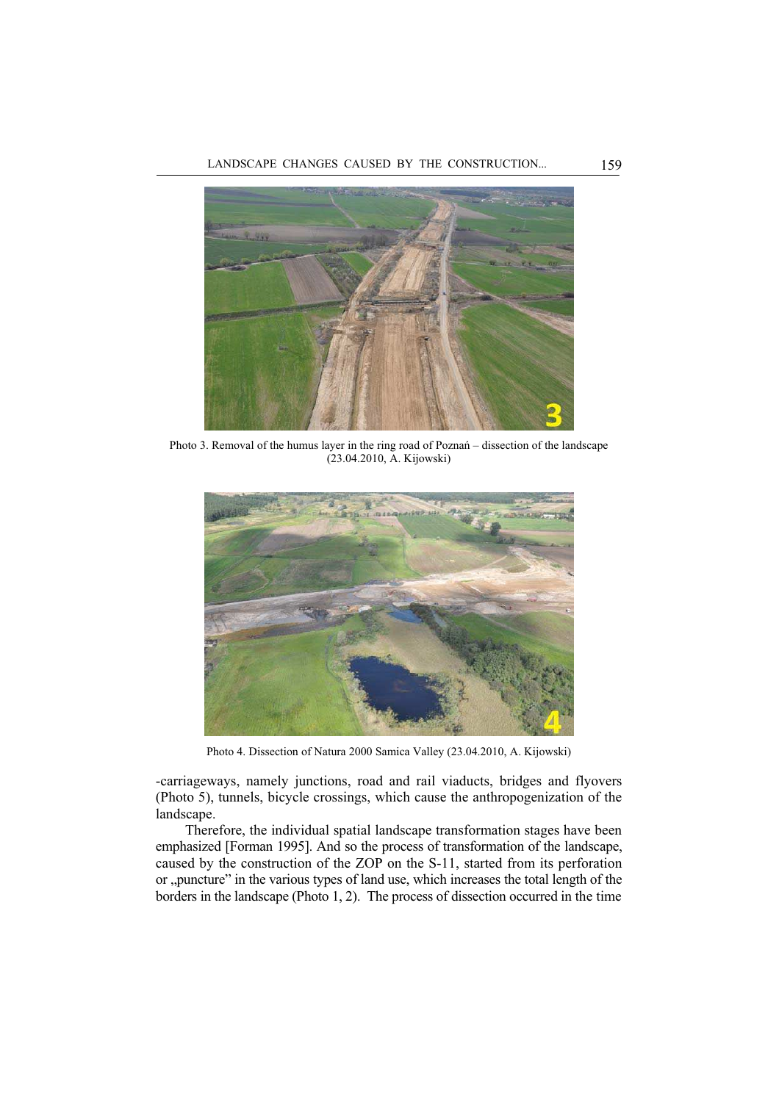

Photo 3. Removal of the humus layer in the ring road of Poznaň – dissection of the landscape (23.04.2010, A. Kijowski)



Photo 4. Dissection of Natura 2000 Samica Valley (23.04.2010, A. Kijowski)

-carriageways, namely junctions, road and rail viaducts, bridges and flyovers (Photo 5), tunnels, bicycle crossings, which cause the anthropogenization of the landscape.

Therefore, the individual spatial landscape transformation stages have been emphasized [Forman 1995]. And so the process of transformation of the landscape, caused by the construction of the ZOP on the S-11, started from its perforation or ,,puncture" in the various types of land use, which increases the total length of the borders in the landscape (Photo 1, 2). The process of dissection occurred in the time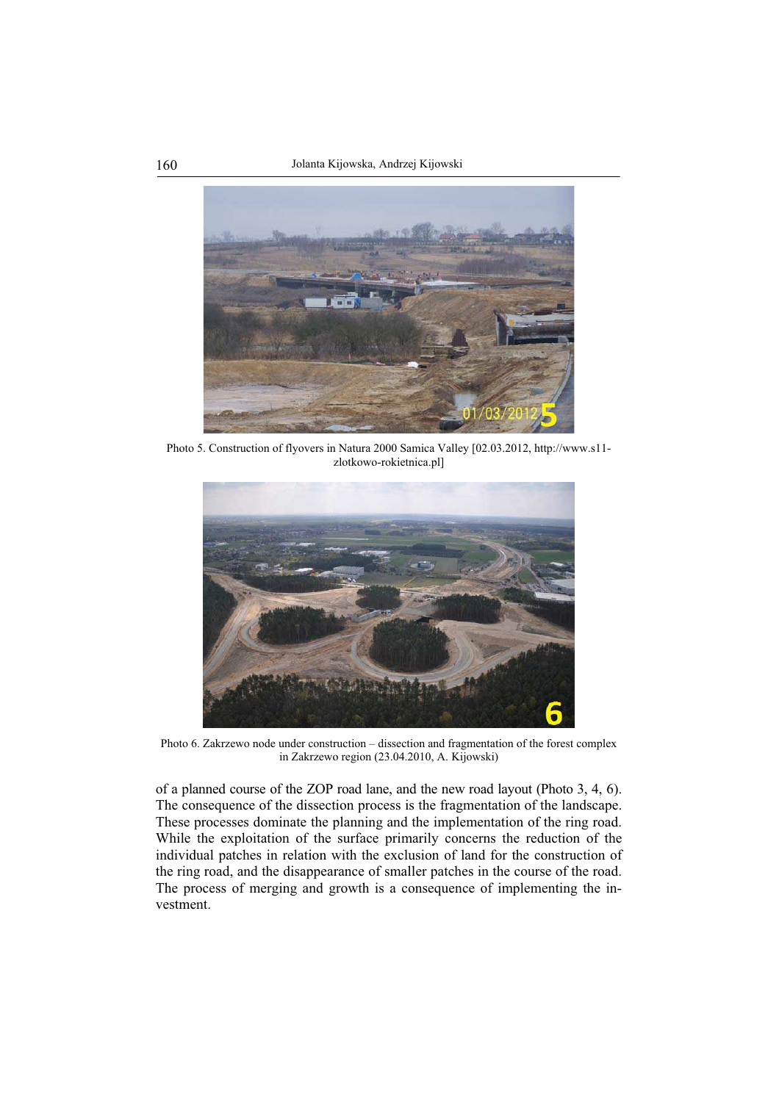

Photo 5. Construction of flyovers in Natura 2000 Samica Valley [02.03.2012, http://www.s11 zlotkowo-rokietnica.pl]



Photo 6. Zakrzewo node under construction – dissection and fragmentation of the forest complex in Zakrzewo region (23.04.2010, A. Kijowski)

of a planned course of the ZOP road lane, and the new road layout (Photo 3, 4, 6). The consequence of the dissection process is the fragmentation of the landscape. These processes dominate the planning and the implementation of the ring road. While the exploitation of the surface primarily concerns the reduction of the individual patches in relation with the exclusion of land for the construction of the ring road, and the disappearance of smaller patches in the course of the road. The process of merging and growth is a consequence of implementing the investment.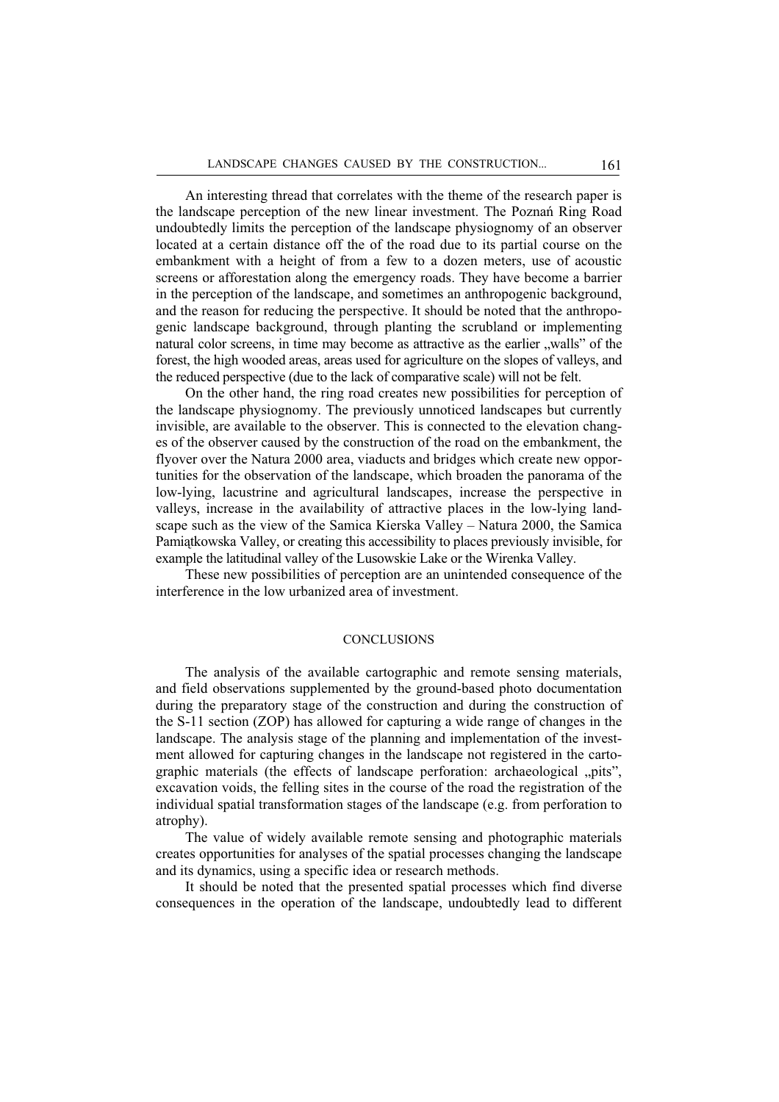An interesting thread that correlates with the theme of the research paper is the landscape perception of the new linear investment. The Poznań Ring Road undoubtedly limits the perception of the landscape physiognomy of an observer located at a certain distance off the of the road due to its partial course on the embankment with a height of from a few to a dozen meters, use of acoustic screens or afforestation along the emergency roads. They have become a barrier in the perception of the landscape, and sometimes an anthropogenic background, and the reason for reducing the perspective. It should be noted that the anthropogenic landscape background, through planting the scrubland or implementing natural color screens, in time may become as attractive as the earlier , walls" of the forest, the high wooded areas, areas used for agriculture on the slopes of valleys, and the reduced perspective (due to the lack of comparative scale) will not be felt.

On the other hand, the ring road creates new possibilities for perception of the landscape physiognomy. The previously unnoticed landscapes but currently invisible, are available to the observer. This is connected to the elevation changes of the observer caused by the construction of the road on the embankment, the flyover over the Natura 2000 area, viaducts and bridges which create new opportunities for the observation of the landscape, which broaden the panorama of the low-lying, lacustrine and agricultural landscapes, increase the perspective in valleys, increase in the availability of attractive places in the low-lying landscape such as the view of the Samica Kierska Valley – Natura 2000, the Samica Pamiątkowska Valley, or creating this accessibility to places previously invisible, for example the latitudinal valley of the Lusowskie Lake or the Wirenka Valley.

These new possibilities of perception are an unintended consequence of the interference in the low urbanized area of investment.

## **CONCLUSIONS**

The analysis of the available cartographic and remote sensing materials, and field observations supplemented by the ground-based photo documentation during the preparatory stage of the construction and during the construction of the S-11 section (ZOP) has allowed for capturing a wide range of changes in the landscape. The analysis stage of the planning and implementation of the investment allowed for capturing changes in the landscape not registered in the cartographic materials (the effects of landscape perforation: archaeological "pits", excavation voids, the felling sites in the course of the road the registration of the individual spatial transformation stages of the landscape (e.g. from perforation to atrophy).

The value of widely available remote sensing and photographic materials creates opportunities for analyses of the spatial processes changing the landscape and its dynamics, using a specific idea or research methods.

It should be noted that the presented spatial processes which find diverse consequences in the operation of the landscape, undoubtedly lead to different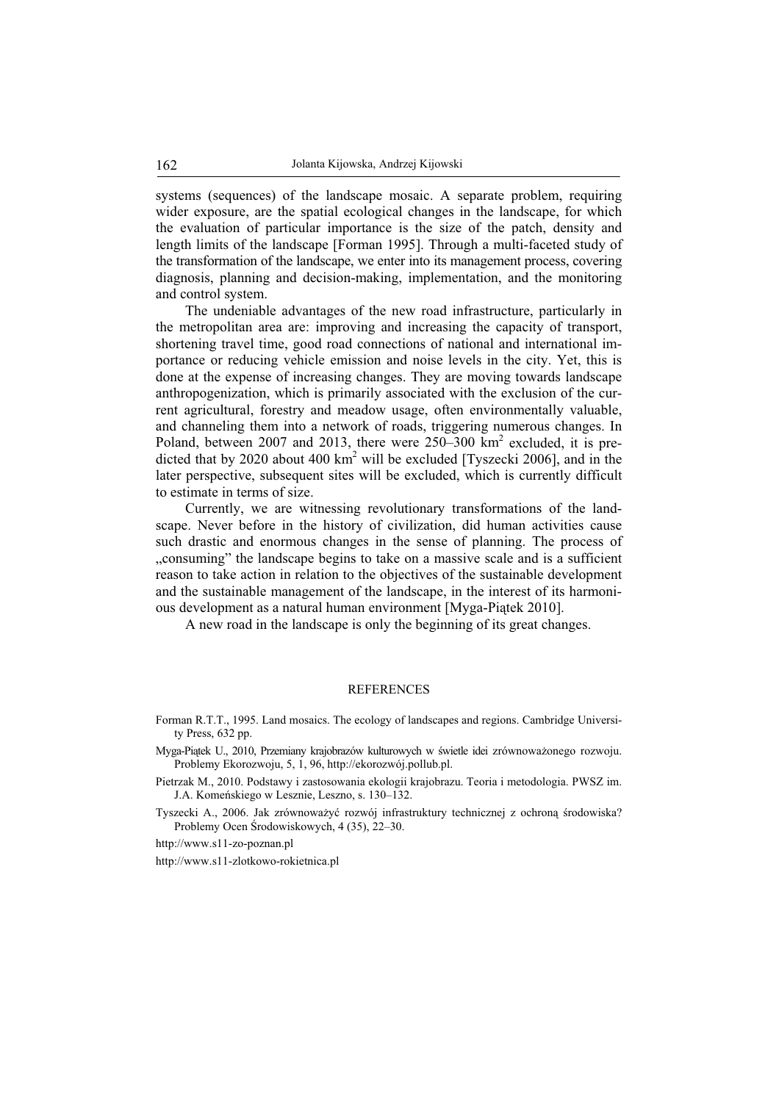systems (sequences) of the landscape mosaic. A separate problem, requiring wider exposure, are the spatial ecological changes in the landscape, for which the evaluation of particular importance is the size of the patch, density and length limits of the landscape [Forman 1995]. Through a multi-faceted study of the transformation of the landscape, we enter into its management process, covering diagnosis, planning and decision-making, implementation, and the monitoring and control system.

The undeniable advantages of the new road infrastructure, particularly in the metropolitan area are: improving and increasing the capacity of transport, shortening travel time, good road connections of national and international importance or reducing vehicle emission and noise levels in the city. Yet, this is done at the expense of increasing changes. They are moving towards landscape anthropogenization, which is primarily associated with the exclusion of the current agricultural, forestry and meadow usage, often environmentally valuable, and channeling them into a network of roads, triggering numerous changes. In Poland, between 2007 and 2013, there were 250–300 km<sup>2</sup> excluded, it is predicted that by 2020 about 400  $km^2$  will be excluded [Tyszecki 2006], and in the later perspective, subsequent sites will be excluded, which is currently difficult to estimate in terms of size.

Currently, we are witnessing revolutionary transformations of the landscape. Never before in the history of civilization, did human activities cause such drastic and enormous changes in the sense of planning. The process of "consuming" the landscape begins to take on a massive scale and is a sufficient reason to take action in relation to the objectives of the sustainable development and the sustainable management of the landscape, in the interest of its harmonious development as a natural human environment [Myga-Piątek 2010].

A new road in the landscape is only the beginning of its great changes.

#### REFERENCES

- Forman R.T.T., 1995. Land mosaics. The ecology of landscapes and regions. Cambridge University Press, 632 pp.
- Myga-Piątek U., 2010, Przemiany krajobrazów kulturowych w świetle idei zrównoważonego rozwoju. Problemy Ekorozwoju, 5, 1, 96, http://ekorozwój.pollub.pl.
- Pietrzak M., 2010. Podstawy i zastosowania ekologii krajobrazu. Teoria i metodologia. PWSZ im. J.A. Komeńskiego w Lesznie, Leszno, s. 130–132.
- Tyszecki A., 2006. Jak zrównoważyć rozwój infrastruktury technicznej z ochrona środowiska? Problemy Ocen ĝrodowiskowych, 4 (35), 22–30.

http://www.s11-zo-poznan.pl

http://www.s11-zlotkowo-rokietnica.pl